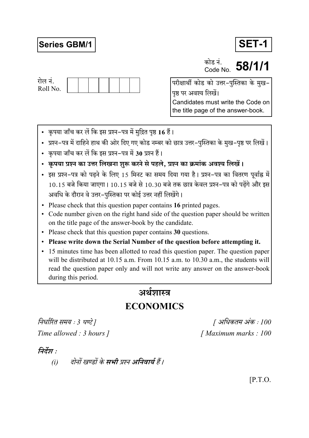# **Series GBM/1**



कोड नं. **PDIS H.** 58/1/1



परीक्षार्थी कोड को उत्तर-पुस्तिका के मुख-पृष्ठ पर अवश्य लिखें। Candidates must write the Code on the title page of the answer-book.

- कृपया जाँच कर लें कि इस प्रश्न-पत्र में मुद्रित पृष्ठ 16 हैं।
- प्रश्न–पत्र में दाहिने हाथ की ओर दिए गए कोड नम्बर को छात्र उत्तर–पुस्तिका के मुख–पृष्ठ पर लिखें।
- कृपया जाँच कर लें कि इस प्रश्न-पत्र में 30 प्रश्न हैं।
- कृपया प्रश्न का उत्तर लिखना शुरू करने से पहले, प्रश्न का क्रमांक अवश्य लिखें।
- इस प्रश्न-पत्र को पढने के लिए 15 मिनट का समय दिया गया है। प्रश्न-पत्र का वितरण पूर्वाह्न में 10.15 बजे किया जाएगा। 10.15 बजे से 10.30 बजे तक छात्र केवल प्रश्न-पत्र को पढ़ेंगे और इस अवधि के दौरान वे उत्तर-पुस्तिका पर कोई उत्तर नहीं लिखेंगे।
- Please check that this question paper contains 16 printed pages.
- Code number given on the right hand side of the question paper should be written on the title page of the answer-book by the candidate.
- Please check that this question paper contains 30 questions.
- Please write down the Serial Number of the question before attempting it.
- 15 minutes time has been allotted to read this question paper. The question paper will be distributed at 10.15 a.m. From 10.15 a.m. to 10.30 a.m., the students will read the question paper only and will not write any answer on the answer-book during this period.

# अर्थशास्त्र

# **ECONOMICS**

निर्धारित समय : 3 घण्टे ] Time allowed : 3 hours 1

[ अधिकतम अंक : 100 [Maximum marks: 100]

# निर्देश :

दोनों खण्डों के **सभी** प्रश्न अनिवार्य हैं।  $(i)$ 

 $[$ P.T.O.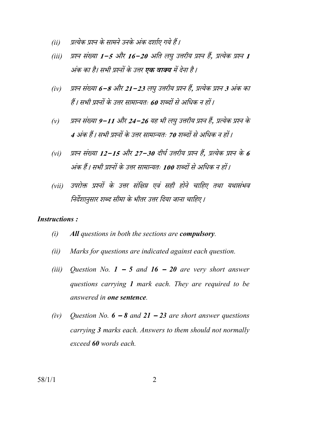- प्रत्येक प्रश्न के सामने उनके अंक दर्शाए गये हैं।  $(ii)$
- प्रश्न संख्या 1-5 और 16-20 अति लघु उत्तरीय प्रश्न हैं, प्रत्येक प्रश्न 1  $(iii)$ अंक का है। सभी प्रश्नों के उत्तर **एक वाक्य** में देना है।
- प्रश्न संख्या 6−8 और 21−23 लघु उत्तरीय प्रश्न हैं, प्रत्येक प्रश्न 3 अंक का  $(iv)$ हैं। सभी प्रश्नों के उत्तर सामान्यतः 60 शब्दों से अधिक न हों।
- प्रश्न संख्या 9–11 और 24–26 यह भी लघु उत्तरीय प्रश्न हैं. प्रत्येक प्रश्न के  $(v)$ 4 अंक हैं। सभी प्रश्नों के उत्तर सामान्यतः 70 शब्दों से अधिक न हों।
- प्रश्न संख्या 12–15 और 27–30 दीर्घ उत्तरीय प्रश्न हैं. प्रत्येक प्रश्न के 6  $(vi)$ अंक हैं। सभी प्रश्नों के उत्तर सामान्यतः 100 शब्दों से अधिक न हों।
- उपरोक्त प्रश्नों के उत्तर संक्षिप्त एवं सही होने चाहिए तथा यथासंभव  $(vii)$ निर्देशानुसार शब्द सीमा के भीतर उत्तर दिया जाना चाहिए।

#### **Instructions:**

- $(i)$ All questions in both the sections are compulsory.
- Marks for questions are indicated against each question.  $(ii)$
- $(iii)$ Question No.  $1 - 5$  and  $16 - 20$  are very short answer questions carrying 1 mark each. They are required to be answered in one sentence.
- $(iv)$ Question No.  $6 - 8$  and  $21 - 23$  are short answer questions carrying 3 marks each. Answers to them should not normally exceed 60 words each.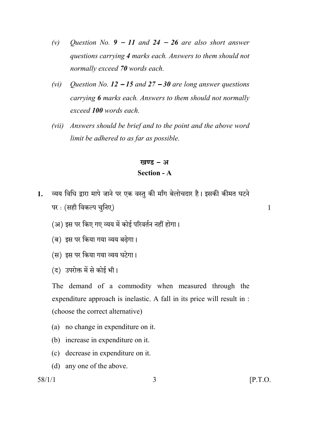- Question No.  $9 11$  and  $24 26$  are also short answer  $(v)$ questions carrying 4 marks each. Answers to them should not normally exceed 70 words each.
- Question No.  $12 15$  and  $27 30$  are long answer questions  $(vi)$ carrying 6 marks each. Answers to them should not normally exceed 100 words each.
- Answers should be brief and to the point and the above word  $(vii)$ limit be adhered to as far as possible.

## खण्ड - अ **Section - A**

- व्यय विधि द्वारा मापे जाने पर एक वस्तु की माँग बेलोचदार है। इसकी कीमत घटने  $\mathbf{1}$ . पर : (सही विकल्प चुनिए)
	- (अ) इस पर किए गए व्यय में कोई परिवर्तन नहीं होगा।
	- (ब) इस पर किया गया व्यय बढेगा।
	- (स) इस पर किया गया व्यय घटेगा।
	- (द) उपरोक्त में से कोई भी।

The demand of a commodity when measured through the expenditure approach is inelastic. A fall in its price will result in : (choose the correct alternative)

- (a) no change in expenditure on it.
- (b) increase in expenditure on it.
- (c) decrease in expenditure on it.
- (d) any one of the above.

 $58/1/1$ 

 $\mathbf{1}$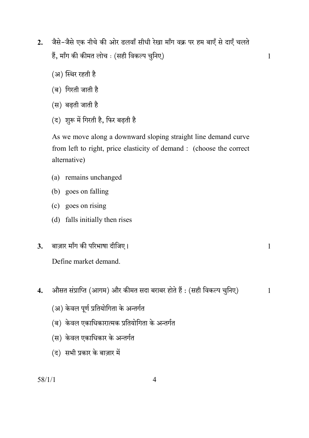जैसे-जैसे एक नीचे की ओर ढलवाँ सीधी रेखा माँग वक्र पर हम बाएँ से दाएँ चलते  $2.$ हैं, माँग की कीमत लोच : (सही विकल्प चुनिए)

 $\mathbf{1}$ 

 $\mathbf{1}$ 

- (अ) स्थिर रहती है
- (ब) गिरती जाती है
- (स) बढती जाती है
- (द) शुरू में गिरती है, फिर बढ़ती है

As we move along a downward sloping straight line demand curve from left to right, price elasticity of demand : (choose the correct alternative)

- (a) remains unchanged
- (b) goes on falling
- (c) goes on rising
- (d) falls initially then rises
- बाज़ार माँग की परिभाषा दीजिए।  $3.$ 
	- Define market demand
- औसत संप्राप्ति (आगम) और कीमत सदा बराबर होते हैं : (सही विकल्प चुनिए)  $\overline{4}$ .  $\mathbf{1}$ 
	- (अ) केवल पूर्ण प्रतियोगिता के अन्तर्गत
	- (ब) केवल एकाधिकारात्मक प्रतियोगिता के अन्तर्गत
	- (स) केवल एकाधिकार के अन्तर्गत
	- (द) सभी प्रकार के बाज़ार में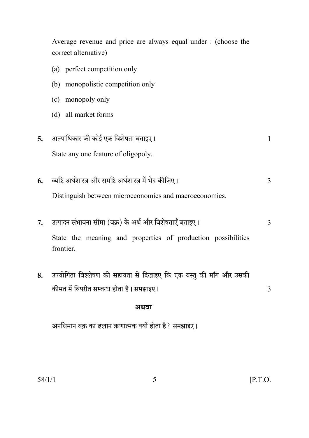Average revenue and price are always equal under : (choose the correct alternative) (a) perfect competition only (b) monopolistic competition only (c) monopoly only (d) all market forms अल्पाधिकार की कोई एक विशेषता बताइए।  $\overline{5}$ . State any one feature of oligopoly. व्यष्टि अर्थशास्त्र और समष्टि अर्थशास्त्र में भेद कीजिए। 6. Distinguish between microeconomics and macroeconomics. उत्पादन संभावना सीमा (वक्र) के अर्थ और विशेषताएँ बताइए।  $7.$ State the meaning and properties of production possibilities frontier. उपयोगिता विश्लेषण की सहायता से दिखाइए कि एक वस्तु की माँग और उसकी 8. कीमत में विपरीत सम्बन्ध होता है। समझाइए। अथवा अनधिमान वक्र का ढलान ऋणात्मक क्यों होता है ? समझाइए।

 $\mathbf{1}$ 

 $\overline{3}$ 

 $\overline{3}$ 

 $\overline{3}$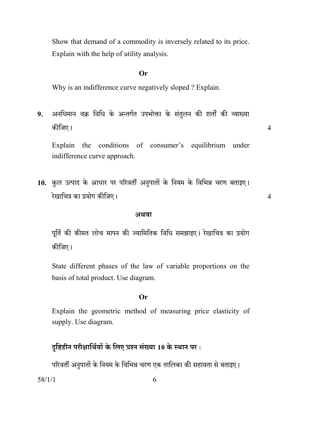Show that demand of a commodity is inversely related to its price. Explain with the help of utility analysis.

#### $Or$

Why is an indifference curve negatively sloped ? Explain.

अनधिमान वक्र विधि के अन्तर्गत उपभोक्ता के संतुलन की शर्तों की व्याख्या  $9<sub>1</sub>$ कीजिए।

Explain the conditions of consumer's equilibrium under indifference curve approach.

 $\overline{4}$ 

 $\overline{4}$ 

10. कुल उत्पाद के आधार पर परिवर्ती अनुपातों के नियम के विभिन्न चरण बताइए। रेखाचित्र का प्रयोग कीजिए।

#### अथवा

पूर्ति की कीमत लोच मापन की ज्यामितिक विधि समझाइए। रेखाचित्र का प्रयोग कीजिए।

State different phases of the law of variable proportions on the basis of total product. Use diagram.

#### $Or$

Explain the geometric method of measuring price elasticity of supply. Use diagram.

## दृष्टिहीन परीक्षार्थियों के लिए प्रश्न संख्या 10 के स्थान पर:

परिवर्ती अनुपातों के नियम के विभिन्न चरण एक तालिका की सहायता से बताइए।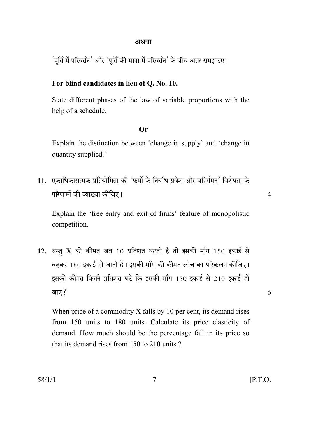#### अथवा

'पूर्ति में परिवर्तन' और 'पूर्ति की मात्रा में परिवर्तन' के बीच अंतर समझाइए।

## For blind candidates in lieu of Q. No. 10.

State different phases of the law of variable proportions with the help of a schedule.

#### $Or$

Explain the distinction between 'change in supply' and 'change in quantity supplied.'

11. एकाधिकारात्मक प्रतियोगिता की 'फर्मों के निर्बाध प्रवेश और बहिर्गमन' विशेषता के परिणामों की व्याख्या कीजिए।

 $\overline{4}$ 

6

Explain the 'free entry and exit of firms' feature of monopolistic competition.

12. वस्तु X की कीमत जब 10 प्रतिशत घटती है तो इसकी माँग 150 इकाई से बढकर 180 इकाई हो जाती है। इसकी माँग की कीमत लोच का परिकलन कीजिए। इसकी कीमत कितने प्रतिशत घटे कि इसकी माँग 150 इकाई से 210 इकाई हो जाए ?

When price of a commodity X falls by 10 per cent, its demand rises from 150 units to 180 units. Calculate its price elasticity of demand. How much should be the percentage fall in its price so that its demand rises from 150 to 210 units?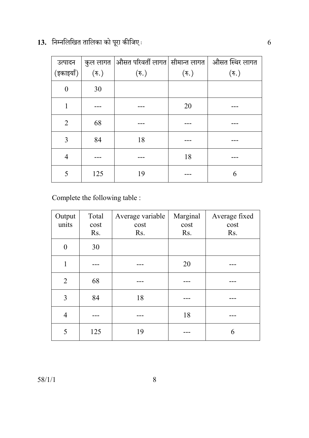13. निम्नलिखित तालिका को पूरा कीजिए:

| (इकाइयाँ)      | $(\overline{\mathfrak{F}}_n)$ | ्उत्पादन $\;\;\mid$ कुल लागत $\mid$ औसत परिवर्ती लागत $\mid$ सीमान्त लागत $\mid\;$ औसत स्थिर लागत |                  |                  |
|----------------|-------------------------------|---------------------------------------------------------------------------------------------------|------------------|------------------|
|                |                               | $(\overline{\mathfrak{F}})$                                                                       | $(\mathfrak{F})$ | $(\mathfrak{F})$ |
| $\theta$       | 30                            |                                                                                                   |                  |                  |
|                |                               |                                                                                                   | 20               |                  |
| 2              | 68                            |                                                                                                   |                  |                  |
| 3              | 84                            | 18                                                                                                |                  |                  |
| $\overline{4}$ |                               |                                                                                                   | 18               |                  |
| 5              | 125                           | 19                                                                                                |                  | 6                |

Complete the following table :

| Output<br>units | Total<br>cost<br>Rs. | Average variable<br>cost<br>Rs. | Marginal<br>cost<br>Rs. | Average fixed<br>cost<br>Rs. |
|-----------------|----------------------|---------------------------------|-------------------------|------------------------------|
| $\Omega$        | 30                   |                                 |                         |                              |
| 1               |                      |                                 | 20                      |                              |
| $\overline{2}$  | 68                   |                                 |                         |                              |
| 3               | 84                   | 18                              |                         |                              |
| $\overline{4}$  |                      |                                 | 18                      |                              |
| 5               | 125                  | 19                              |                         | 6                            |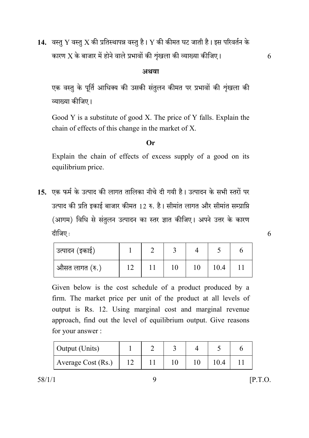14. वस्तु Y वस्तु X की प्रतिस्थापन्न वस्तु है। Y की कीमत घट जाती है। इस परिवर्तन के कारण  $\rm X$  के बाजार में होने वाले प्रभावों की शृंखला की व्याख्या कीजिए।

#### अथवा

एक वस्तु के पूर्ति आधिक्य की उसकी संतुलन कीमत पर प्रभावों की शृंखला की व्याख्या कीजिए।

Good Y is a substitute of good X. The price of Y falls. Explain the chain of effects of this change in the market of X.

#### $Or$

Explain the chain of effects of excess supply of a good on its equilibrium price.

15. एक फर्म के उत्पाद की लागत तालिका नीचे दी गयी है। उत्पादन के सभी स्तरों पर उत्पाद की प्रति इकाई बाजार कीमत 12 रु. है। सीमांत लागत और सीमांत सम्प्राप्ति (आगम) विधि से संतुलन उत्पादन का स्तर ज्ञात कीजिए। अपने उत्तर के कारण दीजिए:

| उत्पादन (इकाई) |  |  |      |  |
|----------------|--|--|------|--|
| औसत लागत (रु.) |  |  | 10.4 |  |

Given below is the cost schedule of a product produced by a firm. The market price per unit of the product at all levels of output is Rs. 12. Using marginal cost and marginal revenue approach, find out the level of equilibrium output. Give reasons for your answer:

| <b>Output</b> (Units) |  |  |  |
|-----------------------|--|--|--|
| Average Cost (Rs.)    |  |  |  |

9

 $58/1/1$ 

 $\overline{6}$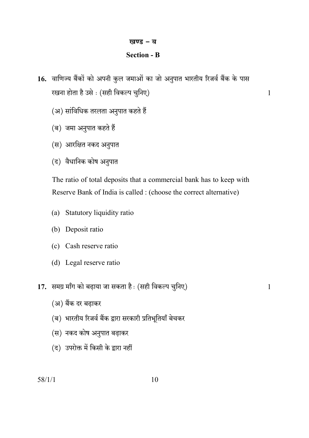## खण्ड – ब

## **Section - B**

- 16. वाणिज्य बैंकों को अपनी कुल जमाओं का जो अनुपात भारतीय रिजर्व बैंक के पास रखना होता है उसे : (सही विकल्प चुनिए)
	- (अ) सांविधिक तरलता अनुपात कहते हैं
	- (ब) जमा अनुपात कहते हैं
	- (स) आरक्षित नकद अनुपात
	- (द) वैधानिक कोष अनुपात

The ratio of total deposits that a commercial bank has to keep with Reserve Bank of India is called : (choose the correct alternative)

- (a) Statutory liquidity ratio
- (b) Deposit ratio
- (c) Cash reserve ratio
- (d) Legal reserve ratio
- 17. समग्र माँग को बढ़ाया जा सकता है: (सही विकल्प चुनिए)

 $\mathbf{1}$ 

 $\mathbf{1}$ 

- (अ) बैंक दर बढ़ाकर
- (ब) भारतीय रिजर्व बैंक द्वारा सरकारी प्रतिभूतियाँ बेचकर
- (स) नकद कोष अनुपात बढ़ाकर
- (द) उपरोक्त में किसी के द्वारा नहीं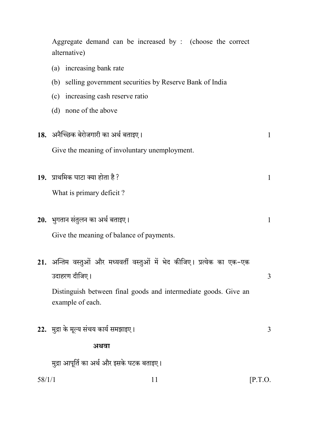|        | Aggregate demand can be increased by : (choose the correct<br>alternative)                |              |
|--------|-------------------------------------------------------------------------------------------|--------------|
|        | (a) increasing bank rate                                                                  |              |
|        | (b) selling government securities by Reserve Bank of India                                |              |
|        | (c) increasing cash reserve ratio                                                         |              |
|        | (d) none of the above                                                                     |              |
|        | 18. अनैच्छिक बेरोजगारी का अर्थ बताइए।                                                     | $\mathbf{1}$ |
|        | Give the meaning of involuntary unemployment.                                             |              |
|        | 19. प्राथमिक घाटा क्या होता है ?                                                          | $\mathbf{1}$ |
|        | What is primary deficit?                                                                  |              |
|        | 20. भुगतान संतुलन का अर्थ बताइए।                                                          | $\mathbf{1}$ |
|        | Give the meaning of balance of payments.                                                  |              |
|        | 21. अन्तिम वस्तुओं और मध्यवर्ती वस्तुओं में भेद कीजिए। प्रत्येक का एक-एक<br>उदाहरण दीजिए। | 3            |
|        | Distinguish between final goods and intermediate goods. Give an<br>example of each.       |              |
|        | 22. मुद्रा के मूल्य संचय कार्य समझाइए।                                                    | 3            |
|        | अथवा                                                                                      |              |
|        | मुद्रा आपूर्ति का अर्थ और इसके घटक बताइए।                                                 |              |
| 58/1/1 | 11                                                                                        | [P.T.O.      |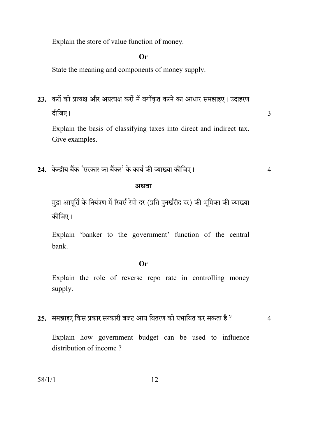Explain the store of value function of money.

## $Or$

State the meaning and components of money supply.

23. करों को प्रत्यक्ष और अप्रत्यक्ष करों में वर्गीकृत करने का आधार समझाइए। उदाहरण दीजिए।

Explain the basis of classifying taxes into direct and indirect tax. Give examples.

24. केन्द्रीय बैंक 'सरकार का बैंकर' के कार्य की व्याख्या कीजिए।

#### अथवा

मुद्रा आपूर्ति के नियंत्रण में रिवर्स रेपो दर (प्रति पुनर्खरीद दर) की भूमिका की व्याख्या कीजिए।

Explain 'banker to the government' function of the central bank.

#### $Or$

Explain the role of reverse repo rate in controlling money supply.

25. समझाइए किस प्रकार सरकारी बजट आय वितरण को प्रभावित कर सकता है ?

 $\overline{4}$ 

 $\overline{3}$ 

 $\overline{4}$ 

Explain how government budget can be used to influence distribution of income?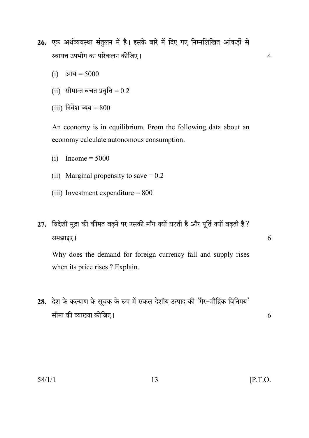- 26. एक अर्थव्यवस्था संतुलन में है। इसके बारे में दिए गए निम्नलिखित आंकड़ों से स्वायत्त उपभोग का परिकलन कीजिए।
	- (i) आय =  $5000$
	- (ii) सीमान्त बचत प्रवृत्ति =  $0.2$
	- (iii) निवेश व्यय =  $800$

An economy is in equilibrium. From the following data about an economy calculate autonomous consumption.

- (i) Income =  $5000$
- (ii) Marginal propensity to save  $= 0.2$
- (iii) Investment expenditure  $= 800$
- 27. विदेशी मुद्रा की कीमत बढ़ने पर उसकी माँग क्यों घटती है और पूर्ति क्यों बढ़ती है ? समझाइए।

Why does the demand for foreign currency fall and supply rises when its price rises ? Explain.

28. देश के कल्याण के सूचक के रूप में सकल देशीय उत्पाद की 'गैर-मौद्रिक विनिमय' सीमा की व्याख्या कीजिए।

13

6

6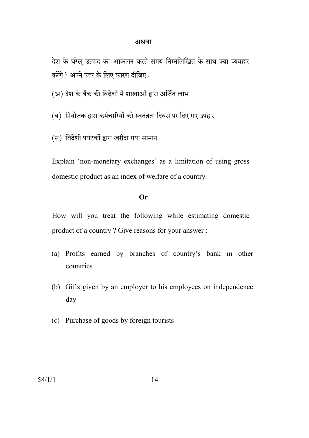#### अथवा

देश के घरेलू उत्पाद का आकलन करते समय निम्नलिखित के साथ क्या व्यवहार करेंगे ? अपने उत्तर के लिए कारण दीजिए:

(अ) देश के बैंक की विदेशों में शाखाओं द्वारा अर्जित लाभ

(ब) नियोजक द्वारा कर्मचारियों को स्वतंत्रता दिवस पर दिए गए उपहार

(स) विदेशी पर्यटकों द्वारा खरीदा गया सामान

Explain 'non-monetary exchanges' as a limitation of using gross domestic product as an index of welfare of a country.

#### $Or$

How will you treat the following while estimating domestic product of a country? Give reasons for your answer:

- (a) Profits earned by branches of country's bank in other **countries**
- (b) Gifts given by an employer to his employees on independence day
- (c) Purchase of goods by foreign tourists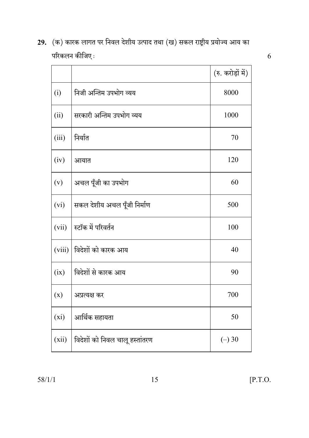| 29.   (क) कारक लागत पर निवल देशीय उत्पाद तथा (ख) सकल राष्ट्रीय प्रयोज्य आय का |
|-------------------------------------------------------------------------------|
| परिकलन कीजिए :                                                                |

|        |                                | (रु. करोड़ों में) |
|--------|--------------------------------|-------------------|
| (i)    | निजी अन्तिम उपभोग व्यय         | 8000              |
| (ii)   | सरकारी अन्तिम उपभोग व्यय       | 1000              |
| (iii)  | निर्यात                        | 70                |
| (iv)   | आयात                           | 120               |
| (v)    | अचल पूँजी का उपभोग             | 60                |
| (vi)   | सकल देशीय अचल पूँजी निर्माण    | 500               |
| (vii)  | स्टॉक में परिवर्तन             | 100               |
| (viii) | विदेशों को कारक आय             | 40                |
| (ix)   | विदेशों से कारक आय             | 90                |
| (x)    | अप्रत्यक्ष कर                  | 700               |
| (xi)   | आर्थिक सहायता                  | 50                |
| (xii)  | विदेशों को निवल चालू हस्तांतरण | $(-)30$           |

 $58/1/1$ 

 $15$ 

 $\overline{6}$